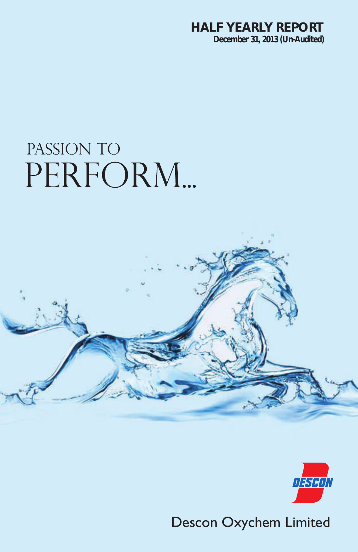# **HALF YEARLY REPORT December 31, 2013 (Un-Audited)**

# PASSION TO PERFORM...





Descon Oxychem Limited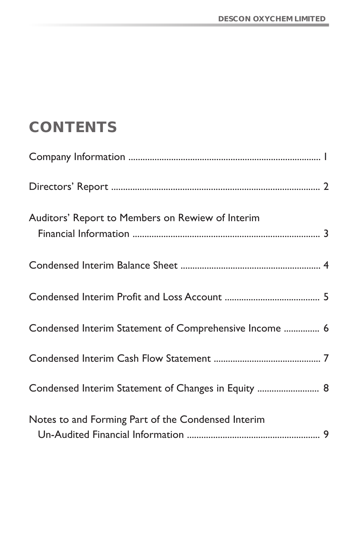# **CONTENTS**

| Auditors' Report to Members on Rewiew of Interim       |  |
|--------------------------------------------------------|--|
|                                                        |  |
|                                                        |  |
| Condensed Interim Statement of Comprehensive Income  6 |  |
|                                                        |  |
| Condensed Interim Statement of Changes in Equity  8    |  |
| Notes to and Forming Part of the Condensed Interim     |  |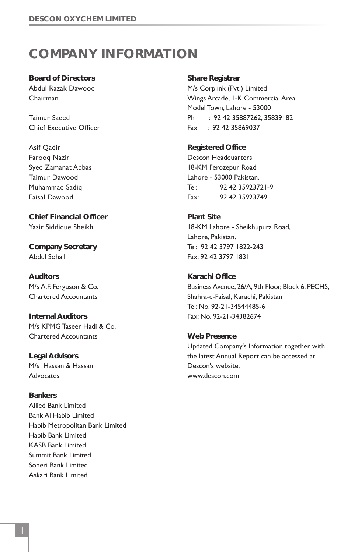# **COMPANY INFORMATION**

**Board of Directors** Abdul Razak Dawood Chairman

Taimur Saeed Chief Executive Officer

Asif Qadir Farooq Nazir Syed Zamanat Abbas Taimur Dawood Muhammad Sadiq Faisal Dawood

**Chief Financial Officer** Yasir Siddique Sheikh

**Company Secretary** Abdul Sohail

**Auditors** M/s A.F. Ferguson & Co. Chartered Accountants

**Internal Auditors** M/s KPMG Taseer Hadi & Co. Chartered Accountants

**Legal Advisors** M/s Hassan & Hassan **Advocates** 

**Bankers** Allied Bank Limited Bank Al Habib Limited Habib Metropolitan Bank Limited Habib Bank Limited KASB Bank Limited Summit Bank Limited Soneri Bank Limited Askari Bank Limited

**Share Registrar** M/s Corplink (Pvt.) Limited Wings Arcade, 1-K Commercial Area Model Town, Lahore - 53000 Ph : 92 42 35887262, 35839182 Fax : 92 42 35869037

**Registered Office** Descon Headquarters 18-KM Ferozepur Road Lahore - 53000 Pakistan. Tel: 92 42 35923721-9 Fax: 92 42 35923749

**Plant Site** 18-KM Lahore - Sheikhupura Road, Lahore, Pakistan. Tel: 92 42 3797 1822-243 Fax: 92 42 3797 1831

**Karachi Office** Business Avenue, 26/A, 9th Floor, Block 6, PECHS, Shahra-e-Faisal, Karachi, Pakistan Tel: No. 92-21-34544485-6 Fax: No. 92-21-34382674

**Web Presence** Updated Company's Information together with the latest Annual Report can be accessed at Descon's website, www.descon.com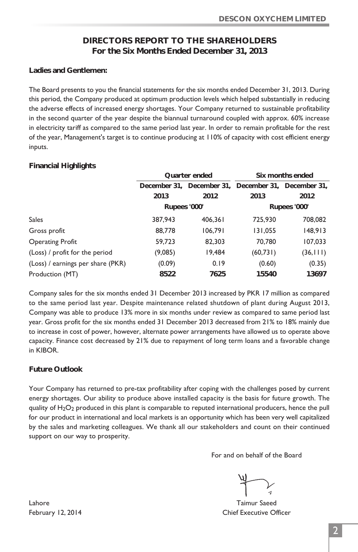# **DIRECTORS REPORT TO THE SHAREHOLDERS For the Six Months Ended December 31, 2013**

**Ladies and Gentlemen:**

The Board presents to you the financial statements for the six months ended December 31, 2013. During this period, the Company produced at optimum production levels which helped substantially in reducing the adverse effects of increased energy shortages. Your Company returned to sustainable profitability in the second quarter of the year despite the biannual turnaround coupled with approx. 60% increase in electricity tariff as compared to the same period last year. In order to remain profitable for the rest of the year, Management's target is to continue producing at 110% of capacity with cost efficient energy inputs.

#### **Financial Highlights**

|                                   | Quarter ended                                       |         |           | Six months ended |
|-----------------------------------|-----------------------------------------------------|---------|-----------|------------------|
|                                   | December 31, December 31, December 31, December 31, |         |           |                  |
|                                   | 2013                                                | 2012    | 2013      | 2012             |
|                                   | Rupees '000'                                        |         |           | Rupees '000'     |
| <b>Sales</b>                      | 387,943                                             | 406,361 | 725,930   | 708,082          |
| Gross profit                      | 88,778                                              | 106,791 | 131,055   | 148,913          |
| <b>Operating Profit</b>           | 59,723                                              | 82,303  | 70,780    | 107,033          |
| (Loss) / profit for the period    | (9,085)                                             | 19,484  | (60, 731) | (36, 111)        |
| (Loss) / earnings per share (PKR) | (0.09)                                              | 0.19    | (0.60)    | (0.35)           |
| Production (MT)                   | 8522                                                | 7625    | 15540     | 13697            |

Company sales for the six months ended 31 December 2013 increased by PKR 17 million as compared to the same period last year. Despite maintenance related shutdown of plant during August 2013, Company was able to produce 13% more in six months under review as compared to same period last year. Gross profit for the six months ended 31 December 2013 decreased from 21% to 18% mainly due to increase in cost of power, however, alternate power arrangements have allowed us to operate above capacity. Finance cost decreased by 21% due to repayment of long term loans and a favorable change in KIBOR.

### **Future Outlook**

Your Company has returned to pre-tax profitability after coping with the challenges posed by current energy shortages. Our ability to produce above installed capacity is the basis for future growth. The quality of  $H_2O_2$  produced in this plant is comparable to reputed international producers, hence the pull for our product in international and local markets is an opportunity which has been very well capitalized by the sales and marketing colleagues. We thank all our stakeholders and count on their continued support on our way to prosperity.

For and on behalf of the Board

February 12, 2014 **Chief Executive Officer** 

Lahore Taimur Saeed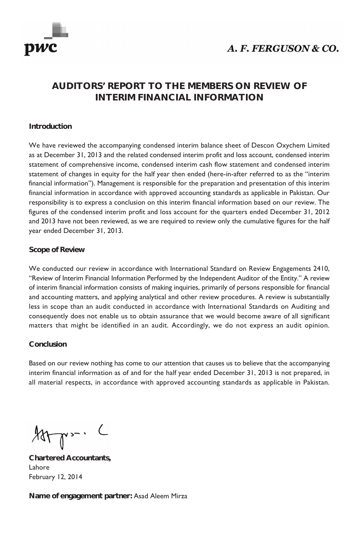

# A. F. FERGUSON & CO.

# **AUDITORS' REPORT TO THE MEMBERS ON REVIEW OF INTERIM FINANCIAL INFORMATION**

#### **Introduction**

We have reviewed the accompanying condensed interim balance sheet of Descon Oxychem Limited as at December 31, 2013 and the related condensed interim profit and loss account, condensed interim statement of comprehensive income, condensed interim cash flow statement and condensed interim statement of changes in equity for the half year then ended (here-in-after referred to as the "interim financial information"). Management is responsible for the preparation and presentation of this interim financial information in accordance with approved accounting standards as applicable in Pakistan. Our responsibility is to express a conclusion on this interim financial information based on our review. The figures of the condensed interim profit and loss account for the quarters ended December 31, 2012 and 2013 have not been reviewed, as we are required to review only the cumulative figures for the half year ended December 31, 2013.

#### **Scope of Review**

We conducted our review in accordance with International Standard on Review Engagements 2410, "Review of Interim Financial Information Performed by the Independent Auditor of the Entity." A review of interim financial information consists of making inquiries, primarily of persons responsible for financial and accounting matters, and applying analytical and other review procedures. A review is substantially less in scope than an audit conducted in accordance with International Standards on Auditing and consequently does not enable us to obtain assurance that we would become aware of all significant matters that might be identified in an audit. Accordingly, we do not express an audit opinion.

#### **Conclusion**

Based on our review nothing has come to our attention that causes us to believe that the accompanying interim financial information as of and for the half year ended December 31, 2013 is not prepared, in all material respects, in accordance with approved accounting standards as applicable in Pakistan.

 $Arr$ .

**Chartered Accountants,** Lahore February 12, 2014

**Name of engagement partner:** Asad Aleem Mirza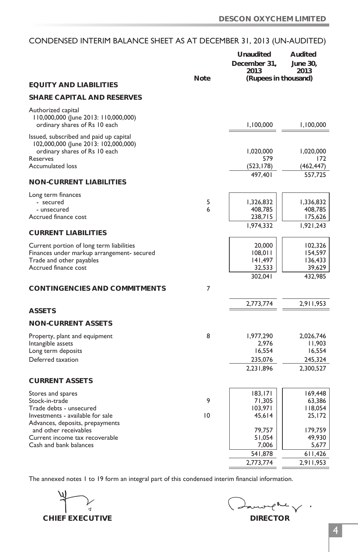# CONDENSED INTERIM BALANCE SHEET AS AT DECEMBER 31, 2013 (UN-AUDITED)

|                                                                     |        | Unaudited            | Audited              |
|---------------------------------------------------------------------|--------|----------------------|----------------------|
|                                                                     |        | December 31.         | June 30.             |
|                                                                     |        | 2013                 | 2013                 |
|                                                                     | Note   | (Rupees in thousand) |                      |
| <b>EQUITY AND LIABILITIES</b>                                       |        |                      |                      |
| <b>SHARE CAPITAL AND RESERVES</b>                                   |        |                      |                      |
| Authorized capital                                                  |        |                      |                      |
| I 10,000,000 (June 2013: 110,000,000)                               |        |                      |                      |
| ordinary shares of Rs 10 each                                       |        | 1,100,000            | 1,100,000            |
| Issued, subscribed and paid up capital                              |        |                      |                      |
| 102,000,000 (June 2013: 102,000,000)                                |        |                      |                      |
| ordinary shares of Rs 10 each                                       |        | 1,020,000            | 1,020,000            |
| Reserves<br><b>Accumulated loss</b>                                 |        | 579<br>(523, 178)    | 172<br>(462, 447)    |
|                                                                     |        | 497,401              | 557,725              |
| <b>NON-CURRENT LIABILITIES</b>                                      |        |                      |                      |
|                                                                     |        |                      |                      |
| Long term finances<br>- secured                                     |        |                      |                      |
| - unsecured                                                         | 5<br>6 | 1,326,832<br>408,785 | 1,336,832<br>408,785 |
| Accrued finance cost                                                |        | 238,715              | 175,626              |
|                                                                     |        | 1,974,332            | 1,921,243            |
| <b>CURRENT LIABILITIES</b>                                          |        |                      |                      |
| Current portion of long term liabilities                            |        | 20,000               | 102,326              |
| Finances under markup arrangement- secured                          |        | 108,011              | 154,597              |
| Trade and other payables                                            |        | 141,497              | 136,433              |
| Accrued finance cost                                                |        | 32,533               | 39,629               |
|                                                                     |        | 302.041              | 432,985              |
| CONTINGENCIES AND COMMITMENTS                                       | 7      |                      |                      |
|                                                                     |        |                      |                      |
| <b>ASSETS</b>                                                       |        | 2,773,774            | 2,911,953            |
| <b>NON-CURRENT ASSETS</b>                                           |        |                      |                      |
|                                                                     |        |                      |                      |
| Property, plant and equipment                                       | 8      | 1,977,290            | 2,026,746            |
| Intangible assets<br>Long term deposits                             |        | 2.976<br>16,554      | 11,903<br>16,554     |
| Deferred taxation                                                   |        | 235,076              | 245,324              |
|                                                                     |        | 2,231,896            | 2,300,527            |
|                                                                     |        |                      |                      |
| <b>CURRENT ASSETS</b>                                               |        |                      |                      |
| Stores and spares                                                   |        | 183,171              | 169,448              |
| Stock-in-trade                                                      | 9      | 71,305               | 63,386               |
| Trade debts - unsecured                                             |        | 103,971              | 118,054              |
| Investments - available for sale<br>Advances, deposits, prepayments | 10     | 45,614               | 25,172               |
| and other receivables                                               |        | 79,757               | 179,759              |
| Current income tax recoverable                                      |        | 51,054               | 49,930               |
| Cash and bank balances                                              |        | 7,006                | 5,677                |
|                                                                     |        | 541,878              | 611,426              |
|                                                                     |        | 2,773,774            | 2,911,953            |

 $\overline{1}$ **CHIEF EXECUTIVE DIRECTOR** 

يمامهو  $\checkmark$  :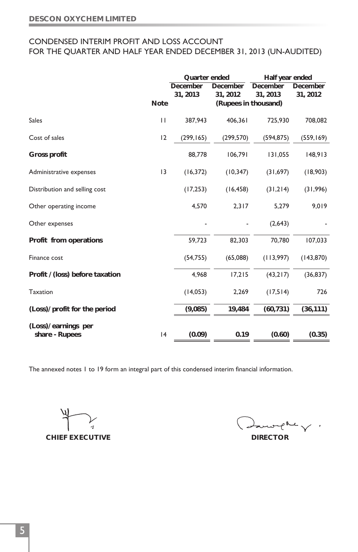## CONDENSED INTERIM PROFIT AND LOSS ACCOUNT FOR THE QUARTER AND HALF YEAR ENDED DECEMBER 31, 2013 (UN-AUDITED)

|                                          |      | Quarter ended |                      | Half year ended |            |
|------------------------------------------|------|---------------|----------------------|-----------------|------------|
|                                          |      | December      | December             | December        | December   |
|                                          |      | 31, 2013      | 31, 2012             | 31, 2013        | 31, 2012   |
|                                          | Note |               | (Rupees in thousand) |                 |            |
| <b>Sales</b>                             | П    | 387,943       | 406,361              | 725,930         | 708,082    |
| Cost of sales                            | 12   | (299, 165)    | (299,570)            | (594, 875)      | (559, 169) |
| Gross profit                             |      | 88,778        | 106,791              | 131,055         | 148,913    |
| Administrative expenses                  | 13   | (16, 372)     | (10, 347)            | (31,697)        | (18,903)   |
| Distribution and selling cost            |      | (17, 253)     | (16, 458)            | (31,214)        | (31,996)   |
| Other operating income                   |      | 4,570         | 2,317                | 5,279           | 9,019      |
| Other expenses                           |      |               |                      | (2,643)         |            |
| Profit from operations                   |      | 59,723        | 82,303               | 70,780          | 107,033    |
| Finance cost                             |      | (54,755)      | (65,088)             | (113,997)       | (143, 870) |
| Profit / (loss) before taxation          |      | 4.968         | 17,215               | (43,217)        | (36, 837)  |
| <b>Taxation</b>                          |      | (14,053)      | 2,269                | (17,514)        | 726        |
| (Loss)/ profit for the period            |      | (9,085)       | 19,484               | (60, 731)       | (36, 111)  |
| $(Loss)/$ earnings per<br>share - Rupees | 4    | (0.09)        | 0.19                 | (0.60)          | (0.35)     |
|                                          |      |               |                      |                 |            |

**CHIEF EXECUTIVE DIRECTOR** 

Lawrelle  $\curlyvee$  .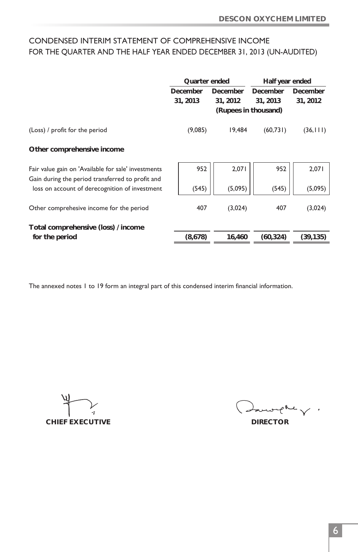# CONDENSED INTERIM STATEMENT OF COMPREHENSIVE INCOME FOR THE QUARTER AND THE HALF YEAR ENDED DECEMBER 31, 2013 (UN-AUDITED)

|                                                     | Quarter ended |          | Half year ended      |           |
|-----------------------------------------------------|---------------|----------|----------------------|-----------|
|                                                     | December      | December | December             | December  |
|                                                     | 31, 2013      | 31, 2012 | 31, 2013             | 31, 2012  |
|                                                     |               |          | (Rupees in thousand) |           |
| (Loss) / profit for the period                      | (9,085)       | 19.484   | (60, 731)            | (36, 111) |
| Other comprehensive income                          |               |          |                      |           |
| Fair value gain on 'Available for sale' investments | 952           | 2,071    | 952                  | 2,071     |
| Gain during the period transferred to profit and    |               |          |                      |           |
| loss on account of derecognition of investment      | (545)         | (5,095)  | (545)                | (5,095)   |
| Other comprehesive income for the period            | 407           | (3,024)  | 407                  | (3,024)   |
| Total comprehensive (loss) / income                 |               |          |                      |           |
| for the period                                      | (8,678)       | 16,460   | (60, 324)            | (39, 135) |

**CHIEF EXECUTIVE DIRECTOR** 

Lurelle V.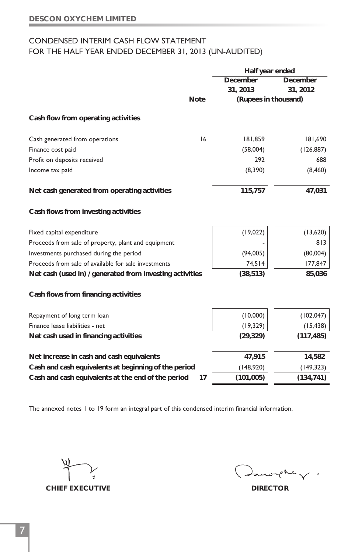# CONDENSED INTERIM CASH FLOW STATEMENT FOR THE HALF YEAR ENDED DECEMBER 31, 2013 (UN-AUDITED)

|                                                          |      | Half year ended      |            |
|----------------------------------------------------------|------|----------------------|------------|
|                                                          |      | December             | December   |
|                                                          |      | 31, 2013             | 31, 2012   |
|                                                          | Note | (Rupees in thousand) |            |
| Cash flow from operating activities                      |      |                      |            |
| Cash generated from operations                           | 16   | 181,859              | 181,690    |
| Finance cost paid                                        |      | (58,004)             | (126, 887) |
| Profit on deposits received                              |      | 292                  | 688        |
| Income tax paid                                          |      | (8,390)              | (8, 460)   |
| Net cash generated from operating activities             |      | 115,757              | 47,031     |
| Cash flows from investing activities                     |      |                      |            |
| Fixed capital expenditure                                |      | (19,022)             | (13,620)   |
| Proceeds from sale of property, plant and equipment      |      |                      | 813        |
| Investments purchased during the period                  |      | (94,005)             | (80,004)   |
| Proceeds from sale of available for sale investments     |      | 74,514               | 177,847    |
| Net cash (used in) / generated from investing activities |      | (38, 513)            | 85,036     |
| Cash flows from financing activities                     |      |                      |            |
| Repayment of long term loan                              |      | (10,000)             | (102, 047) |
| Finance lease liabilities - net                          |      | (19, 329)            | (15, 438)  |
| Net cash used in financing activities                    |      | (29, 329)            | (117, 485) |
| Net increase in cash and cash equivalents                |      | 47,915               | 14,582     |
| Cash and cash equivalents at beginning of the period     |      | (148,920)            | (149, 323) |
| Cash and cash equivalents at the end of the period       | 17   | (101, 005)           | (134,741)  |
|                                                          |      |                      |            |

**CHIEF EXECUTIVE DIRECTOR** 

 $e^{\kappa \epsilon}$   $\sqrt{2}$ .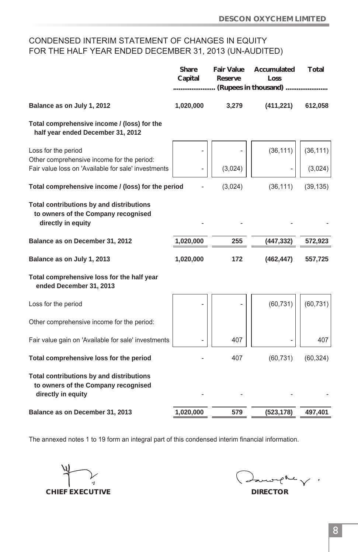# CONDENSED INTERIM STATEMENT OF CHANGES IN EQUITY FOR THE HALF YEAR ENDED DECEMBER 31, 2013 (UN-AUDITED)

|                                                                                                       | Share<br>Capital | Fair Value<br>Reserve | Accumulated<br>Loss  | Total     |
|-------------------------------------------------------------------------------------------------------|------------------|-----------------------|----------------------|-----------|
|                                                                                                       |                  |                       | (Rupees in thousand) |           |
| Balance as on July 1, 2012                                                                            | 1,020,000        | 3,279                 | (411, 221)           | 612,058   |
| Total comprehensive income / (loss) for the<br>half year ended December 31, 2012                      |                  |                       |                      |           |
| Loss for the period<br>Other comprehensive income for the period:                                     |                  |                       | (36, 111)            | (36, 111) |
| Fair value loss on 'Available for sale' investments                                                   |                  | (3,024)               |                      | (3,024)   |
| Total comprehensive income / (loss) for the period                                                    |                  | (3,024)               | (36, 111)            | (39, 135) |
| Total contributions by and distributions<br>to owners of the Company recognised<br>directly in equity |                  |                       |                      |           |
| Balance as on December 31, 2012                                                                       | 1,020,000        | 255                   | (447, 332)           | 572,923   |
| Balance as on July 1, 2013                                                                            | 1,020,000        | 172                   | (462, 447)           | 557,725   |
| Total comprehensive loss for the half year<br>ended December 31, 2013                                 |                  |                       |                      |           |
| Loss for the period                                                                                   |                  |                       | (60, 731)            | (60, 731) |
| Other comprehensive income for the period:                                                            |                  |                       |                      |           |
| Fair value gain on 'Available for sale' investments                                                   |                  | 407                   |                      | 407       |
| Total comprehensive loss for the period                                                               |                  | 407                   | (60, 731)            | (60, 324) |
| Total contributions by and distributions<br>to owners of the Company recognised<br>directly in equity |                  |                       |                      |           |
| Balance as on December 31, 2013                                                                       | 1,020,000        | 579                   | (523, 178)           | 497,401   |

**CHIEF EXECUTIVE DIRECTOR** 

 $\sim$  where  $\sim$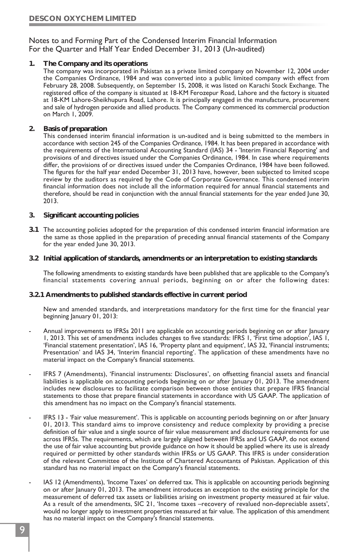#### Notes to and Forming Part of the Condensed Interim Financial Information For the Quarter and Half Year Ended December 31, 2013 (Un-audited)

**1. The Company and its operations**

The company was incorporated in Pakistan as a private limited company on November 12, 2004 under the Companies Ordinance, 1984 and was converted into a public limited company with effect from February 28, 2008. Subsequently, on September 15, 2008, it was listed on Karachi Stock Exchange. The registered office of the company is situated at 18-KM Ferozepur Road, Lahore and the factory is situated at 18-KM Lahore-Sheikhupura Road, Lahore. It is principally engaged in the manufacture, procurement and sale of hydrogen peroxide and allied products. The Company commenced its commercial production on March 1, 2009.

**2. Basis of preparation**

This condensed interim financial information is un-audited and is being submitted to the members in accordance with section 245 of the Companies Ordinance, 1984. It has been prepared in accordance with the requirements of the International Accounting Standard (IAS) 34 - 'Interim Financial Reporting' and provisions of and directives issued under the Companies Ordinance, 1984. In case where requirements differ, the provisions of or directives issued under the Companies Ordinance, 1984 have been followed. The figures for the half year ended December 31, 2013 have, however, been subjected to limited scope review by the auditors as required by the Code of Corporate Governance. This condensed interim financial information does not include all the information required for annual financial statements and therefore, should be read in conjunction with the annual financial statements for the year ended June 30, 2013.

- **3. Significant accounting policies**
- **3.1** The accounting policies adopted for the preparation of this condensed interim financial information are the same as those applied in the preparation of preceding annual financial statements of the Company for the year ended June 30, 2013.
- **3.2 Initial application of standards, amendments or an interpretation to existing standards**

The following amendments to existing standards have been published that are applicable to the Company's financial statements covering annual periods, beginning on or after the following dates:

**3.2.1 Amendments to published standards effective in current period**

New and amended standards, and interpretations mandatory for the first time for the financial year beginning January 01, 2013:

- Annual improvements to IFRSs 2011 are applicable on accounting periods beginning on or after January 1, 2013. This set of amendments includes changes to five standards: IFRS 1, 'First time adoption', IAS 1, 'Financial statement presentation', IAS 16, 'Property plant and equipment', IAS 32, 'Financial instruments; Presentation' and IAS 34, 'Interim financial reporting'. The application of these amendments have no material impact on the Company's financial statements.
- IFRS 7 (Amendments), 'Financial instruments: Disclosures', on offsetting financial assets and financial liabilities is applicable on accounting periods beginning on or after January 01, 2013. The amendment includes new disclosures to facilitate comparison between those entities that prepare IFRS financial statements to those that prepare financial statements in accordance with US GAAP. The application of this amendment has no impact on the Company's financial statements.
- IFRS 13 'Fair value measurement'. This is applicable on accounting periods beginning on or after January 01, 2013. This standard aims to improve consistency and reduce complexity by providing a precise definition of fair value and a single source of fair value measurement and disclosure requirements for use across IFRSs. The requirements, which are largely aligned between IFRSs and US GAAP, do not extend the use of fair value accounting but provide guidance on how it should be applied where its use is already required or permitted by other standards within IFRSs or US GAAP. This IFRS is under consideration of the relevant Committee of the Institute of Chartered Accountants of Pakistan. Application of this standard has no material impact on the Company's financial statements.
- IAS 12 (Amendments), 'Income Taxes' on deferred tax. This is applicable on accounting periods beginning on or after January 01, 2013. The amendment introduces an exception to the existing principle for the measurement of deferred tax assets or liabilities arising on investment property measured at fair value. As a result of the amendments, SIC 21, 'Income taxes –recovery of revalued non-depreciable assets', would no longer apply to investment properties measured at fair value. The application of this amendment has no material impact on the Company's financial statements.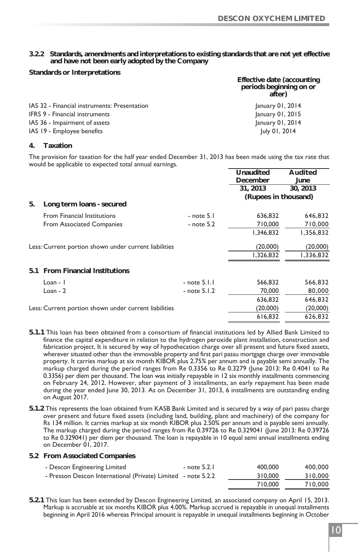**3.2.2 Standards, amendments and interpretations to existing standards that are not yet effective and have not been early adopted by the Company**

**Standards or Interpretations**

|                                              | Effective date (accounting<br>periods beginning on or<br>after) |
|----------------------------------------------|-----------------------------------------------------------------|
| IAS 32 - Financial instruments: Presentation | January 01, 2014                                                |
| IFRS 9 - Financial instruments               | January 01, 2015                                                |
| IAS 36 - Impairment of assets                | January 01, 2014                                                |
| IAS 19 - Employee benefits                   | July 01, 2014                                                   |

#### **4. Taxation**

The provision for taxation for the half year ended December 31, 2013 has been made using the tax rate that would be applicable to expected total annual earnings.

|     |                                                       |                  | Unaudited            | Audited   |
|-----|-------------------------------------------------------|------------------|----------------------|-----------|
|     |                                                       |                  | December             | June      |
|     |                                                       |                  | 31, 2013             | 30, 2013  |
|     |                                                       |                  | (Rupees in thousand) |           |
| 5.  | Long term loans - secured                             |                  |                      |           |
|     | <b>From Financial Institutions</b>                    | $-$ note $5.1$   | 636,832              | 646,832   |
|     | From Associated Companies                             | $-$ note $5.2$   | 710,000              | 710,000   |
|     |                                                       |                  | 1,346,832            | 1,356,832 |
|     | Less: Current portion shown under current liabilities |                  | (20,000)             | (20,000)  |
|     |                                                       |                  | 1,326,832            | 1,336,832 |
| 5.1 | From Financial Institutions                           |                  |                      |           |
|     | $Loan - I$                                            | $-$ note $5.1.1$ | 566,832              | 566,832   |
|     | $Loan - 2$                                            | - note 5.1.2     | 70,000               | 80,000    |
|     |                                                       |                  | 636,832              | 646,832   |
|     | Less: Current portion shown under current liabilities |                  | (20,000)             | (20,000)  |
|     |                                                       |                  | 616,832              | 626,832   |
|     |                                                       |                  |                      |           |

- **5.1.1** This loan has been obtained from a consortium of financial institutions led by Allied Bank Limited to finance the capital expenditure in relation to the hydrogen peroxide plant installation, construction and fabrication project. It is secured by way of hypothecation charge over all present and future fixed assets, wherever situated other than the immovable property and first pari passu mortgage charge over immovable property. It carries markup at six month KIBOR plus 2.75% per annum and is payable semi annually. The markup charged during the period ranges from Re 0.3356 to Re 0.3279 (June 2013: Re 0.4041 to Re 0.3356) per diem per thousand. The loan was initially repayable in 12 six monthly installments commencing on February 24, 2012. However, after payment of 3 installments, an early repayment has been made during the year ended June 30, 2013. As on December 31, 2013, 6 installments are outstanding ending on August 2017.
- **5.1.2** This represents the loan obtained from KASB Bank Limited and is secured by a way of pari passu charge over present and future fixed assets (including land, building, plant and machinery) of the company for Rs 134 million. It carries markup at six month KIBOR plus 2.50% per annum and is payable semi annually. The markup charged during the period ranges from Re 0.39726 to Re 0.329041 (June 2013: Re 0.39726 to Re 0.329041) per diem per thousand. The loan is repayable in 10 equal semi annual installments ending on December 01, 2017.
- **5.2 From Associated Companies**

| - Descon Engineering Limited                                  | - note 5.2.1 | 400,000 | 400,000 |
|---------------------------------------------------------------|--------------|---------|---------|
| - Presson Descon International (Private) Limited - note 5.2.2 |              | 310,000 | 310,000 |
|                                                               |              | 710,000 | 710,000 |

**5.2.1** This loan has been extended by Descon Engineering Limited, an associated company on April 15, 2013. Markup is accruable at six months KIBOR plus 4.00%. Markup accrued is repayable in unequal installments beginning in April 2016 whereas Principal amount is repayable in unequal installments beginning in October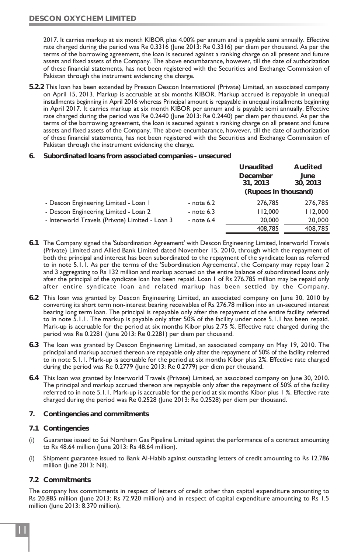2017. It carries markup at six month KIBOR plus 4.00% per annum and is payable semi annually. Effective rate charged during the period was Re 0.3316 (June 2013: Re 0.3316) per diem per thousand. As per the terms of the borrowing agreement, the loan is secured against a ranking charge on all present and future assets and fixed assets of the Company. The above encumbarance, however, till the date of authorization of these financial statements, has not been registered with the Securities and Exchange Commission of Pakistan through the instrument evidencing the charge.

- **5.2.2** This loan has been extended by Presson Descon International (Private) Limited, an associated company on April 15, 2013. Markup is accruable at six months KIBOR. Markup accrued is repayable in unequal installments beginning in April 2016 whereas Principal amount is repayable in unequal installments beginning in April 2017. It carries markup at six month KIBOR per annum and is payable semi annually. Effective rate charged during the period was Re 0.2440 (June 2013: Re 0.2440) per diem per thousand. As per the terms of the borrowing agreement, the loan is secured against a ranking charge on all present and future assets and fixed assets of the Company. The above encumbarance, however, till the date of authorization of these financial statements, has not been registered with the Securities and Exchange Commission of Pakistan through the instrument evidencing the charge.
- **6. Subordinated loans from associated companies unsecured**

|                                                 |              | Unaudited            | Audited          |
|-------------------------------------------------|--------------|----------------------|------------------|
|                                                 |              | December<br>31, 2013 | June<br>30, 2013 |
|                                                 |              | (Rupees in thousand) |                  |
| - Descon Engineering Limited - Loan I           | - note 6.2   | 276,785              | 276,785          |
| - Descon Engineering Limited - Loan 2           | $-$ note 6.3 | 112,000              | 112,000          |
| - Interworld Travels (Private) Limited - Loan 3 | - note $6.4$ | 20,000               | 20,000           |
|                                                 |              | 408,785              | 408,785          |

- **6.1** The Company signed the 'Subordination Agreement' with Descon Engineering Limited, Interworld Travels (Private) Limited and Allied Bank Limited dated November 15, 2010, through which the repayment of both the principal and interest has been subordinated to the repayment of the syndicate loan as referred to in note 5.1.1. As per the terms of the 'Subordination Agreements', the Company may repay loan 2 and 3 aggregating to Rs 132 million and markup accrued on the entire balance of subordinated loans only after the principal of the syndicate loan has been repaid. Loan 1 of Rs 276.785 million may be repaid only after entire syndicate loan and related markup has been settled by the Company.
- **6.2** This loan was granted by Descon Engineering Limited, an associated company on June 30, 2010 by converting its short term non-interest bearing receivables of Rs 276.78 million into an un-secured interest bearing long term loan. The principal is repayable only after the repayment of the entire facility referred to in note 5.1.1. The markup is payable only after 50% of the facility under note 5.1.1 has been repaid. Mark-up is accruable for the period at six months Kibor plus 2.75 %. Effective rate charged during the period was Re 0.2281 (June 2013: Re 0.2281) per diem per thousand.
- **6.3** The loan was granted by Descon Engineering Limited, an associated company on May 19, 2010. The principal and markup accrued thereon are repayable only after the repayment of 50% of the facility referred to in note 5.1.1. Mark-up is accruable for the period at six months Kibor plus 2%. Effective rate charged during the period was Re 0.2779 (June 2013: Re 0.2779) per diem per thousand.
- **6.4** This loan was granted by Interworld Travels (Private) Limited, an associated company on June 30, 2010. The principal and markup accrued thereon are repayable only after the repayment of 50% of the facility referred to in note 5.1.1. Mark-up is accruable for the period at six months Kibor plus 1 %. Effective rate charged during the period was Re 0.2528 (June 2013: Re 0.2528) per diem per thousand.
- **7. Contingencies and commitments**
- **7.1 Contingencies**
- (i) Guarantee issued to Sui Northern Gas Pipeline Limited against the performance of a contract amounting to Rs 48.64 million (June 2013: Rs 48.64 million).
- (i) Shipment guarantee issued to Bank Al-Habib against outstading letters of credit amounting to Rs 12.786 million (June 2013: Nil).
- **7.2 Commitments**

The company has commitments in respect of letters of credit other than capital expenditure amounting to Rs 20.885 million (June 2013: Rs 72.920 million) and in respect of capital expenditure amounting to Rs 1.5 million (June 2013: 8.370 million).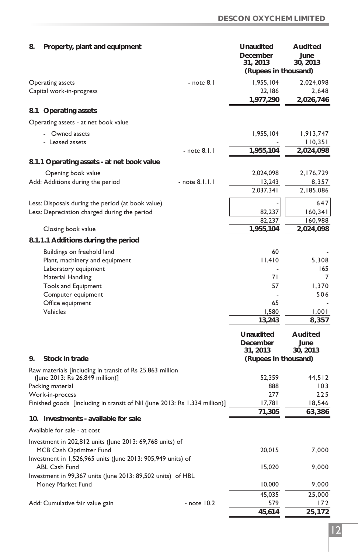| 8. | Property, plant and equipment                                                                 |                    | Unaudited<br>December<br>31, 2013 | Audited<br>June<br>30, 2013 |
|----|-----------------------------------------------------------------------------------------------|--------------------|-----------------------------------|-----------------------------|
|    |                                                                                               |                    | (Rupees in thousand)              |                             |
|    | Operating assets                                                                              | - note 8.1         | 1,955,104                         | 2,024,098                   |
|    | Capital work-in-progress                                                                      |                    | 22,186                            | 2,648                       |
|    |                                                                                               |                    | 1,977,290                         | 2,026,746                   |
|    | 8.1 Operating assets                                                                          |                    |                                   |                             |
|    | Operating assets - at net book value                                                          |                    |                                   |                             |
|    | - Owned assets                                                                                |                    | 1,955,104                         | 1,913,747                   |
|    | - Leased assets                                                                               |                    |                                   | 110,351                     |
|    |                                                                                               | $-$ note $8.1.1$   | 1,955,104                         | 2,024,098                   |
|    | 8.1.1 Operating assets - at net book value                                                    |                    |                                   |                             |
|    | Opening book value                                                                            |                    | 2,024,098                         | 2,176,729                   |
|    | Add: Additions during the period                                                              | $-$ note $8.1.1.1$ | 13,243                            | 8,357                       |
|    |                                                                                               |                    | 2,037,341                         | 2,185,086                   |
|    | Less: Disposals during the period (at book value)                                             |                    |                                   | 647                         |
|    | Less: Depreciation charged during the period                                                  |                    | 82,237                            | 160,341                     |
|    |                                                                                               |                    | 82,237                            | 160,988                     |
|    | Closing book value                                                                            |                    | 1,955,104                         | 2,024,098                   |
|    | 8.1.1.1 Additions during the period                                                           |                    |                                   |                             |
|    | Buildings on freehold land                                                                    |                    | 60                                |                             |
|    | Plant, machinery and equipment                                                                |                    | 11,410                            | 5,308                       |
|    | Laboratory equipment                                                                          |                    | 71                                | 165<br>7                    |
|    | Material Handling<br>Tools and Equipment                                                      |                    | 57                                | 1,370                       |
|    | Computer equipment                                                                            |                    |                                   | 506                         |
|    | Office equipment                                                                              |                    | 65                                |                             |
|    | Vehicles                                                                                      |                    | 1,580                             | 1,001                       |
|    |                                                                                               |                    | 13,243                            | 8,357                       |
|    |                                                                                               |                    | Unaudited                         | Audited                     |
|    |                                                                                               |                    | December                          | June                        |
|    |                                                                                               |                    | 31, 2013                          | 30, 2013                    |
| 9. | Stock in trade                                                                                |                    | (Rupees in thousand)              |                             |
|    | Raw materials [including in transit of Rs 25.863 million                                      |                    |                                   |                             |
|    | (June 2013: Rs 26.849 million)]                                                               |                    | 52,359                            | 44,512                      |
|    | Packing material                                                                              |                    | 888                               | 103                         |
|    | Work-in-process<br>Finished goods [including in transit of Nil (June 2013: Rs 1.334 million)] |                    | 277<br>17,781                     | 225<br>18,546               |
|    |                                                                                               |                    | 71,305                            | 63,386                      |
|    | 10. Investments - available for sale                                                          |                    |                                   |                             |
|    | Available for sale - at cost                                                                  |                    |                                   |                             |
|    | Investment in 202,812 units (June 2013: 69,768 units) of                                      |                    |                                   |                             |
|    | MCB Cash Optimizer Fund                                                                       |                    | 20,015                            | 7,000                       |
|    | Investment in 1,526,965 units (June 2013: 905,949 units) of                                   |                    |                                   |                             |
|    | <b>ABL Cash Fund</b>                                                                          |                    | 15,020                            | 9,000                       |
|    | Investment in 99,367 units (June 2013: 89,502 units) of HBL<br>Money Market Fund              |                    | 10,000                            | 9,000                       |
|    |                                                                                               |                    | 45,035                            | 25,000                      |
|    | Add: Cumulative fair value gain                                                               | - note 10.2        | 579                               | 172                         |
|    |                                                                                               |                    | 45,614                            | 25,172                      |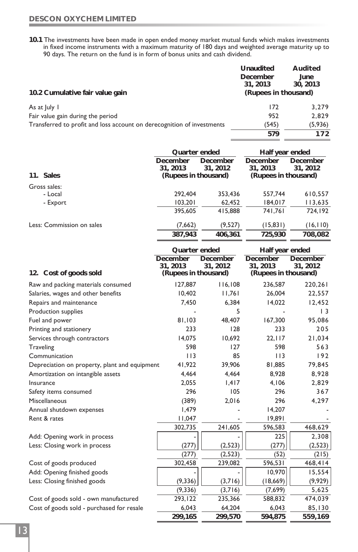**10.1** The investments have been made in open ended money market mutual funds which makes investments in fixed income instruments with a maximum maturity of 180 days and weighted average maturity up to 90 days. The return on the fund is in form of bonus units and cash dividend.

|                                                                        | Unaudited<br>December<br>31, 2013 | Audited<br>June<br>30, 2013 |
|------------------------------------------------------------------------|-----------------------------------|-----------------------------|
| 10.2 Cumulative fair value gain                                        | (Rupees in thousand)              |                             |
| As at July 1                                                           | 172                               | 3.279                       |
| Fair value gain during the period                                      | 952                               | 2.829                       |
| Transferred to profit and loss account on derecognition of investments | (545)                             | (5,936)                     |
|                                                                        | 579                               | 172                         |
|                                                                        |                                   |                             |

|                                               | Quarter ended        |                      | Half year ended      |                      |
|-----------------------------------------------|----------------------|----------------------|----------------------|----------------------|
|                                               | December<br>31, 2013 | December<br>31, 2012 | December<br>31, 2013 | December<br>31, 2012 |
| 11. Sales                                     | (Rupees in thousand) |                      | (Rupees in thousand) |                      |
| Gross sales:                                  |                      |                      |                      |                      |
| - Local                                       | 292,404              | 353,436              | 557,744              | 610,557              |
| - Export                                      | 103,201              | 62,452               | 184,017              | 113,635              |
|                                               | 395,605              | 415,888              | 741,761              | 724,192              |
| Less: Commission on sales                     | (7,662)              | (9,527)              | (15, 831)            | (16, 110)            |
|                                               | 387,943              | 406,361              | 725,930              | 708,082              |
|                                               | Quarter ended        |                      | Half year ended      |                      |
|                                               | December             | December             | December             | December             |
|                                               | 31, 2013             | 31, 2012             | 31, 2013             | 31, 2012             |
| 12. Cost of goods sold                        | (Rupees in thousand) |                      | (Rupees in thousand) |                      |
| Raw and packing materials consumed            | 127,887              | 116,108              | 236,587              | 220,261              |
| Salaries, wages and other benefits            | 10,402               | 11,761               | 26,004               | 22,557               |
| Repairs and maintenance                       | 7,450                | 6,384                | 14,022               | 12,452               |
| Production supplies                           |                      | 5                    |                      | $\vert$ 3            |
| Fuel and power                                | 81,103               | 48,407               | 167,300              | 95,086               |
| Printing and stationery                       | 233                  | 128                  | 233                  | 205                  |
| Services through contractors                  | 14,075               | 10,692               | 22, 117              | 21,034               |
| <b>Traveling</b>                              | 598                  | 127                  | 598                  | 563                  |
| Communication                                 | 113                  | 85                   | 113                  | 192                  |
| Depreciation on property, plant and equipment | 41,922               | 39,906               | 81,885               | 79,845               |
| Amortization on intangible assets             | 4,464                | 4,464                | 8,928                | 8,928                |
| Insurance                                     | 2,055                | 1,417                | 4,106                | 2,829                |
| Safety items consumed                         | 296                  | 105                  | 296                  | 367                  |
| Miscellaneous                                 | (389)                | 2,016                | 296                  | 4,297                |
| Annual shutdown expenses                      | 1,479                |                      | 14,207               |                      |
| Rent & rates                                  | 11,047               |                      | 19,891               |                      |
|                                               | 302,735              | 241,605              | 596,583              | 468,629              |
| Add: Opening work in process                  |                      |                      | 225                  | 2,308                |
| Less: Closing work in process                 | (277)                | (2, 523)             | (277)                | (2, 523)             |
|                                               | (277)                | (2, 523)             | (52)                 | (215)                |
| Cost of goods produced                        | 302,458              | 239,082              | 596,531              | 468,414              |
| Add: Opening finished goods                   |                      |                      | 10,970               | 15,554               |

 $\overline{(9,336)}$   $\overline{(3,716)}$   $\overline{(7,699)}$   $\overline{5,625}$ 

**299,165 299,570 594,875 559,169**

Less: Closing finished goods (9,336) (9,336) (3,716) (18,669) (9,929)

Cost of goods sold - own manufactured 293,122 235,366 588,832 474,039 Cost of goods sold - purchased for resale 6,043 64,204 6,043 85,130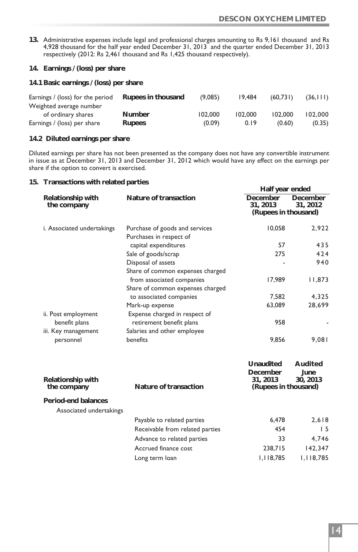- **13.** Administrative expenses include legal and professional charges amounting to Rs 9,161 thousand and Rs 4,928 thousand for the half year ended December 31, 2013 and the quarter ended December 31, 2013 respectively (2012: Rs 2,461 thousand and Rs 1,425 thousand respectively).
- **14. Earnings / (loss) per share**

**14.1 Basic earnings / (loss) per share**

| Earnings / (loss) for the period | Rupees in thousand | (9.085) | 19.484  | (60.731) | (36, 111) |
|----------------------------------|--------------------|---------|---------|----------|-----------|
| Weighted average number          |                    |         |         |          |           |
| of ordinary shares               | Number             | 102,000 | 102.000 | 102.000  | 102.000   |
| Earnings / (loss) per share      | Rupees             | (0.09)  | 0.19    | (0.60)   | (0.35)    |

**14.2 Diluted earnings per share**

Diluted earnings per share has not been presented as the company does not have any convertible instrument in issue as at December 31, 2013 and December 31, 2012 which would have any effect on the earnings per share if the option to convert is exercised.

**15. Transactions with related parties**

| I ransactions with related parties             |                                                               | Half year ended                             |                     |
|------------------------------------------------|---------------------------------------------------------------|---------------------------------------------|---------------------|
| Relationship with<br>the company               | Nature of transaction                                         | December<br>31.2013<br>(Rupees in thousand) | December<br>31.2012 |
| i. Associated undertakings                     | Purchase of goods and services<br>Purchases in respect of     | 10,058                                      | 2,922               |
|                                                | capital expenditures                                          | 57                                          | 435                 |
|                                                | Sale of goods/scrap                                           | 275                                         | 424                 |
|                                                | Disposal of assets<br>Share of common expenses charged        |                                             | 940                 |
|                                                | from associated companies<br>Share of common expenses charged | 17.989                                      | 11,873              |
|                                                | to associated companies                                       | 7.582                                       | 4,325               |
|                                                | Mark-up expense                                               | 63.089                                      | 28,699              |
| ii. Post employment<br>benefit plans           | Expense charged in respect of<br>retirement benefit plans     | 958                                         |                     |
| iii. Key management                            | Salaries and other employee                                   |                                             |                     |
| personnel                                      | benefits                                                      | 9.856                                       | 9.081               |
|                                                |                                                               | Unaudited<br>December                       | Audited<br>June     |
| Relationship with<br>the company               | Nature of transaction                                         | 31, 2013<br>(Rupees in thousand)            | 30, 2013            |
| Period-end balances<br>Associated undertakings |                                                               |                                             |                     |

| Payable to related parties      | 6.478     | 2.618     |
|---------------------------------|-----------|-----------|
| Receivable from related parties | 454       | 15        |
| Advance to related parties      | 33        | 4.746     |
| Accrued finance cost            | 238,715   | 142.347   |
| Long term loan                  | 1.118.785 | 1,118,785 |
|                                 |           |           |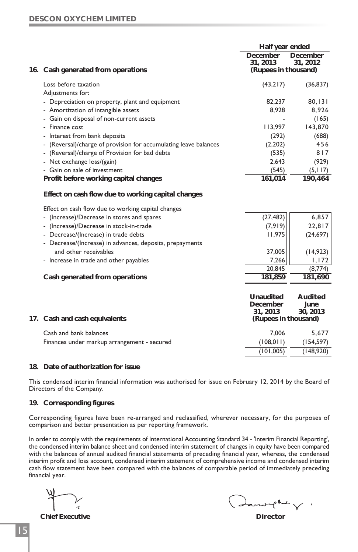|                                                                                  | Half year ended      |            |
|----------------------------------------------------------------------------------|----------------------|------------|
|                                                                                  | December             | December   |
|                                                                                  | 31.2013              | 31, 2012   |
| 16. Cash generated from operations                                               | (Rupees in thousand) |            |
| Loss before taxation                                                             | (43,217)             | (36, 837)  |
| Adjustments for:                                                                 |                      |            |
| - Depreciation on property, plant and equipment                                  | 82,237               | 80, 131    |
| - Amortization of intangible assets                                              | 8,928                | 8,926      |
| Gain on disposal of non-current assets<br>$\overline{\phantom{0}}$               |                      | (165)      |
| - Finance cost                                                                   | 113,997              | 143,870    |
| - Interest from bank deposits                                                    | (292)                | (688)      |
| (Reversal)/charge of provision for accumulating leave balances<br>$\blacksquare$ | (2,202)              | 456        |
| - (Reversal)/charge of Provision for bad debts                                   | (535)                | 817        |
| - Net exchange loss/(gain)                                                       | 2,643                | (929)      |
| - Gain on sale of investment                                                     | (545)                | (5, 117)   |
| Profit before working capital changes                                            | 161,014              | 190,464    |
| Effect on cash flow due to working capital changes                               |                      |            |
| Effect on cash flow due to working capital changes                               |                      |            |
| - (Increase)/Decrease in stores and spares                                       | (27, 482)            | 6,857      |
| - (Increase)/Decrease in stock-in-trade                                          | (7,919)              | 22,817     |
| - Decrease/(Increase) in trade debts                                             | 11,975               | (24, 697)  |
| - Decrease/(Increase) in advances, deposits, prepayments                         |                      |            |
| and other receivables                                                            | 37,005               | (14, 923)  |
| - Increase in trade and other payables                                           | 7,266                | 1,172      |
|                                                                                  | 20,845               | (8,774)    |
| Cash generated from operations                                                   | 181,859              | 181,690    |
|                                                                                  |                      |            |
|                                                                                  | Unaudited            | Audited    |
|                                                                                  | December             | June       |
|                                                                                  | 31, 2013             | 30, 2013   |
| 17. Cash and cash equivalents                                                    | (Rupees in thousand) |            |
| Cash and bank balances                                                           | 7,006                | 5,677      |
| Finances under markup arrangement - secured                                      | (108, 011)           | (154, 597) |
|                                                                                  | (101,005)            | (148,920)  |
|                                                                                  |                      |            |

#### **18. Date of authorization for issue**

This condensed interim financial information was authorised for issue on February 12, 2014 by the Board of Directors of the Company.

#### **19. Corresponding figures**

Corresponding figures have been re-arranged and reclassified, wherever necessary, for the purposes of comparison and better presentation as per reporting framework.

In order to comply with the requirements of International Accounting Standard 34 - 'Interim Financial Reporting', the condensed interim balance sheet and condensed interim statement of changes in equity have been compared with the balances of annual audited financial statements of preceding financial year, whereas, the condensed interim profit and loss account, condensed interim statement of comprehensive income and condensed interim cash flow statement have been compared with the balances of comparable period of immediately preceding financial year.

 $\sim$  or  $\ell^{\text{max}}$  **Chief Executive Director**